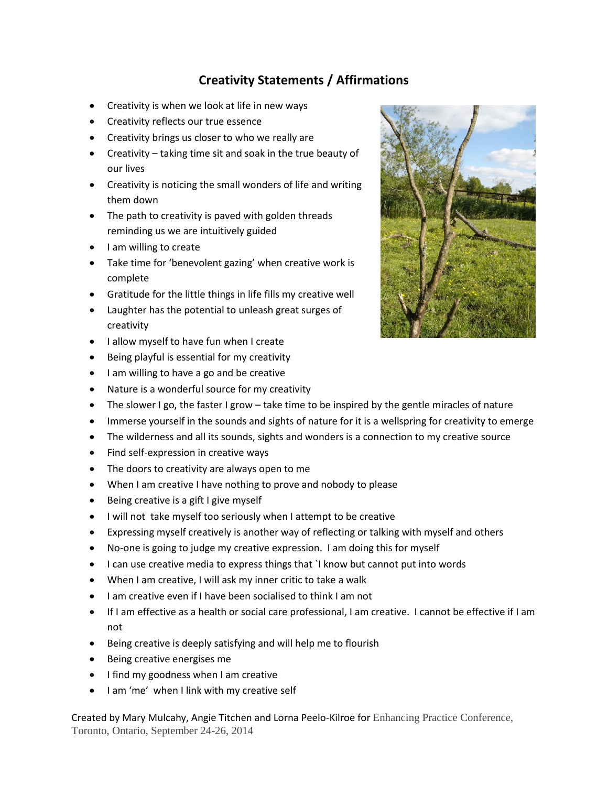## **Creativity Statements / Affirmations**

- Creativity is when we look at life in new ways
- Creativity reflects our true essence
- Creativity brings us closer to who we really are
- Creativity taking time sit and soak in the true beauty of our lives
- Creativity is noticing the small wonders of life and writing them down
- The path to creativity is paved with golden threads reminding us we are intuitively guided
- I am willing to create
- Take time for 'benevolent gazing' when creative work is complete
- Gratitude for the little things in life fills my creative well
- Laughter has the potential to unleash great surges of creativity
- I allow myself to have fun when I create
- Being playful is essential for my creativity
- I am willing to have a go and be creative
- Nature is a wonderful source for my creativity
- The slower I go, the faster I grow take time to be inspired by the gentle miracles of nature
- Immerse yourself in the sounds and sights of nature for it is a wellspring for creativity to emerge
- The wilderness and all its sounds, sights and wonders is a connection to my creative source
- Find self-expression in creative ways
- The doors to creativity are always open to me
- When I am creative I have nothing to prove and nobody to please
- Being creative is a gift I give myself
- $\bullet$  I will not take myself too seriously when I attempt to be creative
- Expressing myself creatively is another way of reflecting or talking with myself and others
- No-one is going to judge my creative expression. I am doing this for myself
- I can use creative media to express things that 'I know but cannot put into words
- When I am creative, I will ask my inner critic to take a walk
- I am creative even if I have been socialised to think I am not
- If I am effective as a health or social care professional, I am creative. I cannot be effective if I am not
- Being creative is deeply satisfying and will help me to flourish
- Being creative energises me
- I find my goodness when I am creative
- I am 'me' when I link with my creative self

Created by Mary Mulcahy, Angie Titchen and Lorna Peelo-Kilroe for Enhancing Practice Conference, Toronto, Ontario, September 24-26, 2014